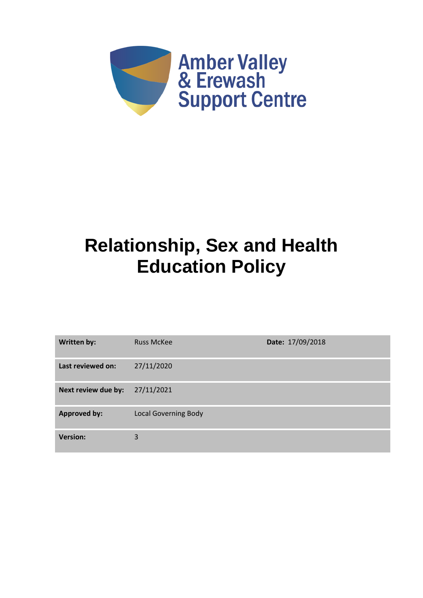

# **Relationship, Sex and Health Education Policy**

| <b>Written by:</b>  | <b>Russ McKee</b>           | Date: 17/09/2018 |
|---------------------|-----------------------------|------------------|
| Last reviewed on:   | 27/11/2020                  |                  |
| Next review due by: | 27/11/2021                  |                  |
| <b>Approved by:</b> | <b>Local Governing Body</b> |                  |
| <b>Version:</b>     | 3                           |                  |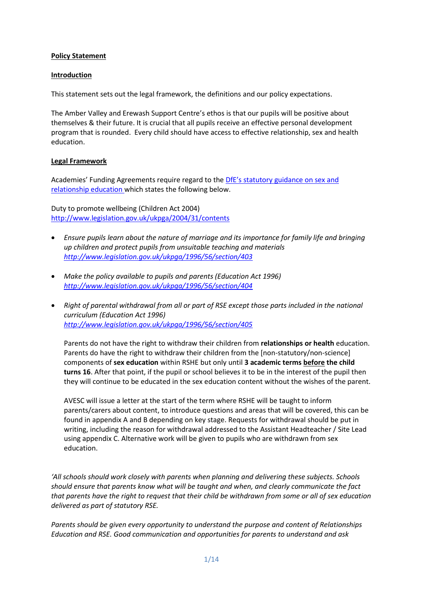## **Policy Statement**

## **Introduction**

This statement sets out the legal framework, the definitions and our policy expectations.

The Amber Valley and Erewash Support Centre's ethos is that our pupils will be positive about themselves & their future. It is crucial that all pupils receive an effective personal development program that is rounded. Every child should have access to effective relationship, sex and health education.

## **Legal Framework**

Academies' Funding Agreements require regard to the [DfE's statutory guidance on sex and](https://www.gov.uk/government/publications/sex-and-relationship-education)  [relationship education](https://www.gov.uk/government/publications/sex-and-relationship-education) which states the following below.

Duty to promote wellbeing (Children Act 2004) <http://www.legislation.gov.uk/ukpga/2004/31/contents>

- *Ensure pupils learn about the nature of marriage and its importance for family life and bringing up children and protect pupils from unsuitable teaching and materials <http://www.legislation.gov.uk/ukpga/1996/56/section/403>*
- *Make the policy available to pupils and parents (Education Act 1996) <http://www.legislation.gov.uk/ukpga/1996/56/section/404>*
- *Right of parental withdrawal from all or part of RSE except those parts included in the national curriculum (Education Act 1996) <http://www.legislation.gov.uk/ukpga/1996/56/section/405>*

Parents do not have the right to withdraw their children from **relationships or health** education. Parents do have the right to withdraw their children from the [non-statutory/non-science] components of **sex education** within RSHE but only until **3 academic terms before the child turns 16**. After that point, if the pupil or school believes it to be in the interest of the pupil then they will continue to be educated in the sex education content without the wishes of the parent.

AVESC will issue a letter at the start of the term where RSHE will be taught to inform parents/carers about content, to introduce questions and areas that will be covered, this can be found in appendix A and B depending on key stage. Requests for withdrawal should be put in writing, including the reason for withdrawal addressed to the Assistant Headteacher / Site Lead using appendix C. Alternative work will be given to pupils who are withdrawn from sex education.

*'All schools should work closely with parents when planning and delivering these subjects. Schools should ensure that parents know what will be taught and when, and clearly communicate the fact that parents have the right to request that their child be withdrawn from some or all of sex education delivered as part of statutory RSE.*

*Parents should be given every opportunity to understand the purpose and content of Relationships Education and RSE. Good communication and opportunities for parents to understand and ask*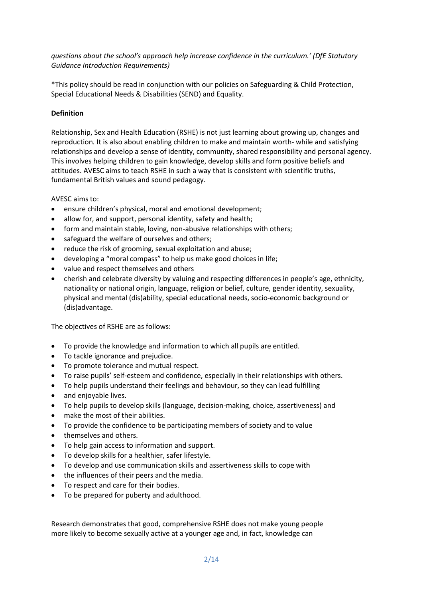*questions about the school's approach help increase confidence in the curriculum.' (DfE Statutory Guidance Introduction Requirements)* 

\*This policy should be read in conjunction with our policies on Safeguarding & Child Protection, Special Educational Needs & Disabilities (SEND) and Equality.

# **Definition**

Relationship, Sex and Health Education (RSHE) is not just learning about growing up, changes and reproduction*.* It is also about enabling children to make and maintain worth- while and satisfying relationships and develop a sense of identity, community, shared responsibility and personal agency. This involves helping children to gain knowledge, develop skills and form positive beliefs and attitudes. AVESC aims to teach RSHE in such a way that is consistent with scientific truths, fundamental British values and sound pedagogy.

AVESC aims to:

- ensure children's physical, moral and emotional development;
- allow for, and support, personal identity, safety and health;
- form and maintain stable, loving, non-abusive relationships with others;
- safeguard the welfare of ourselves and others:
- reduce the risk of grooming, sexual exploitation and abuse;
- developing a "moral compass" to help us make good choices in life;
- value and respect themselves and others
- cherish and celebrate diversity by valuing and respecting differences in people's age, ethnicity, nationality or national origin, language, religion or belief, culture, gender identity, sexuality, physical and mental (dis)ability, special educational needs, socio-economic background or (dis)advantage.

The objectives of RSHE are as follows:

- To provide the knowledge and information to which all pupils are entitled.
- To tackle ignorance and prejudice.
- To promote tolerance and mutual respect.
- To raise pupils' self-esteem and confidence, especially in their relationships with others.
- To help pupils understand their feelings and behaviour, so they can lead fulfilling
- and enjoyable lives.
- To help pupils to develop skills (language, decision-making, choice, assertiveness) and
- make the most of their abilities.
- To provide the confidence to be participating members of society and to value
- themselves and others.
- To help gain access to information and support.
- To develop skills for a healthier, safer lifestyle.
- To develop and use communication skills and assertiveness skills to cope with
- the influences of their peers and the media.
- To respect and care for their bodies.
- To be prepared for puberty and adulthood.

Research demonstrates that good, comprehensive RSHE does not make young people more likely to become sexually active at a younger age and, in fact, knowledge can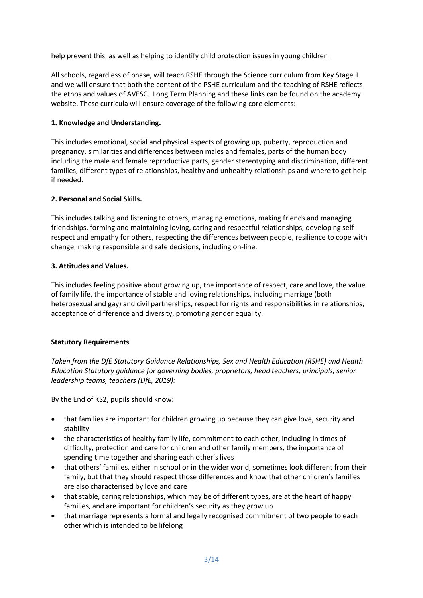help prevent this, as well as helping to identify child protection issues in young children.

All schools, regardless of phase, will teach RSHE through the Science curriculum from Key Stage 1 and we will ensure that both the content of the PSHE curriculum and the teaching of RSHE reflects the ethos and values of AVESC. Long Term Planning and these links can be found on the academy website. These curricula will ensure coverage of the following core elements:

## **1. Knowledge and Understanding.**

This includes emotional, social and physical aspects of growing up, puberty, reproduction and pregnancy, similarities and differences between males and females, parts of the human body including the male and female reproductive parts, gender stereotyping and discrimination, different families, different types of relationships, healthy and unhealthy relationships and where to get help if needed.

## **2. Personal and Social Skills.**

This includes talking and listening to others, managing emotions, making friends and managing friendships, forming and maintaining loving, caring and respectful relationships, developing selfrespect and empathy for others, respecting the differences between people, resilience to cope with change, making responsible and safe decisions, including on-line.

## **3. Attitudes and Values.**

This includes feeling positive about growing up, the importance of respect, care and love, the value of family life, the importance of stable and loving relationships, including marriage (both heterosexual and gay) and civil partnerships, respect for rights and responsibilities in relationships, acceptance of difference and diversity, promoting gender equality.

# **Statutory Requirements**

*Taken from the DfE Statutory Guidance Relationships, Sex and Health Education (RSHE) and Health Education Statutory guidance for governing bodies, proprietors, head teachers, principals, senior leadership teams, teachers (DfE, 2019):* 

By the End of KS2, pupils should know:

- that families are important for children growing up because they can give love, security and stability
- the characteristics of healthy family life, commitment to each other, including in times of difficulty, protection and care for children and other family members, the importance of spending time together and sharing each other's lives
- that others' families, either in school or in the wider world, sometimes look different from their family, but that they should respect those differences and know that other children's families are also characterised by love and care
- that stable, caring relationships, which may be of different types, are at the heart of happy families, and are important for children's security as they grow up
- that marriage represents a formal and legally recognised commitment of two people to each other which is intended to be lifelong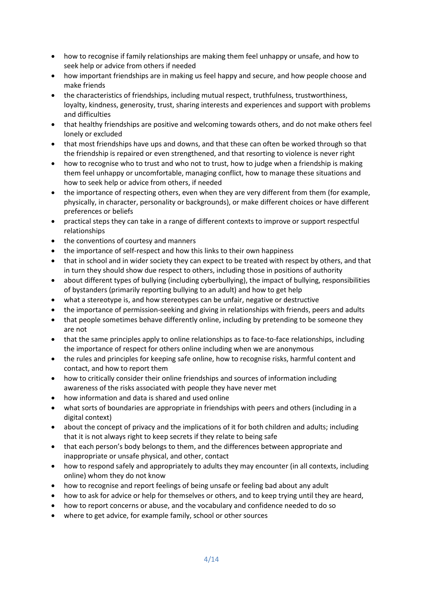- how to recognise if family relationships are making them feel unhappy or unsafe, and how to seek help or advice from others if needed
- how important friendships are in making us feel happy and secure, and how people choose and make friends
- the characteristics of friendships, including mutual respect, truthfulness, trustworthiness, loyalty, kindness, generosity, trust, sharing interests and experiences and support with problems and difficulties
- that healthy friendships are positive and welcoming towards others, and do not make others feel lonely or excluded
- that most friendships have ups and downs, and that these can often be worked through so that the friendship is repaired or even strengthened, and that resorting to violence is never right
- how to recognise who to trust and who not to trust, how to judge when a friendship is making them feel unhappy or uncomfortable, managing conflict, how to manage these situations and how to seek help or advice from others, if needed
- the importance of respecting others, even when they are very different from them (for example, physically, in character, personality or backgrounds), or make different choices or have different preferences or beliefs
- practical steps they can take in a range of different contexts to improve or support respectful relationships
- the conventions of courtesy and manners
- the importance of self-respect and how this links to their own happiness
- that in school and in wider society they can expect to be treated with respect by others, and that in turn they should show due respect to others, including those in positions of authority
- about different types of bullying (including cyberbullying), the impact of bullying, responsibilities of bystanders (primarily reporting bullying to an adult) and how to get help
- what a stereotype is, and how stereotypes can be unfair, negative or destructive
- the importance of permission-seeking and giving in relationships with friends, peers and adults
- that people sometimes behave differently online, including by pretending to be someone they are not
- that the same principles apply to online relationships as to face-to-face relationships, including the importance of respect for others online including when we are anonymous
- the rules and principles for keeping safe online, how to recognise risks, harmful content and contact, and how to report them
- how to critically consider their online friendships and sources of information including awareness of the risks associated with people they have never met
- how information and data is shared and used online
- what sorts of boundaries are appropriate in friendships with peers and others (including in a digital context)
- about the concept of privacy and the implications of it for both children and adults; including that it is not always right to keep secrets if they relate to being safe
- that each person's body belongs to them, and the differences between appropriate and inappropriate or unsafe physical, and other, contact
- how to respond safely and appropriately to adults they may encounter (in all contexts, including online) whom they do not know
- how to recognise and report feelings of being unsafe or feeling bad about any adult
- how to ask for advice or help for themselves or others, and to keep trying until they are heard,
- how to report concerns or abuse, and the vocabulary and confidence needed to do so
- where to get advice, for example family, school or other sources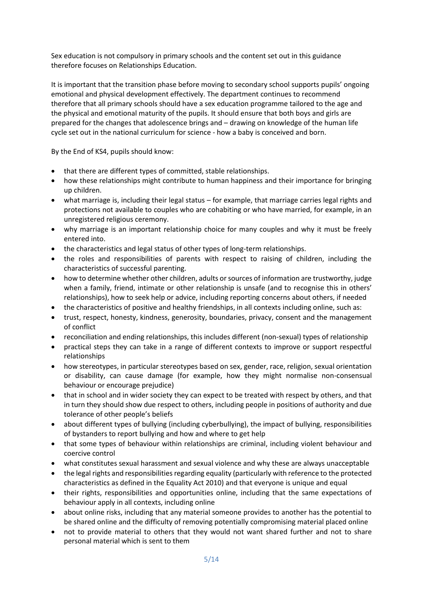Sex education is not compulsory in primary schools and the content set out in this guidance therefore focuses on Relationships Education.

It is important that the transition phase before moving to secondary school supports pupils' ongoing emotional and physical development effectively. The department continues to recommend therefore that all primary schools should have a sex education programme tailored to the age and the physical and emotional maturity of the pupils. It should ensure that both boys and girls are prepared for the changes that adolescence brings and – drawing on knowledge of the human life cycle set out in the national curriculum for science - how a baby is conceived and born.

By the End of KS4, pupils should know:

- that there are different types of committed, stable relationships.
- how these relationships might contribute to human happiness and their importance for bringing up children.
- what marriage is, including their legal status for example, that marriage carries legal rights and protections not available to couples who are cohabiting or who have married, for example, in an unregistered religious ceremony.
- why marriage is an important relationship choice for many couples and why it must be freely entered into.
- the characteristics and legal status of other types of long-term relationships.
- the roles and responsibilities of parents with respect to raising of children, including the characteristics of successful parenting.
- how to determine whether other children, adults or sources of information are trustworthy, judge when a family, friend, intimate or other relationship is unsafe (and to recognise this in others' relationships), how to seek help or advice, including reporting concerns about others, if needed
- the characteristics of positive and healthy friendships, in all contexts including online, such as:
- trust, respect, honesty, kindness, generosity, boundaries, privacy, consent and the management of conflict
- reconciliation and ending relationships, this includes different (non-sexual) types of relationship
- practical steps they can take in a range of different contexts to improve or support respectful relationships
- how stereotypes, in particular stereotypes based on sex, gender, race, religion, sexual orientation or disability, can cause damage (for example, how they might normalise non-consensual behaviour or encourage prejudice)
- that in school and in wider society they can expect to be treated with respect by others, and that in turn they should show due respect to others, including people in positions of authority and due tolerance of other people's beliefs
- about different types of bullying (including cyberbullying), the impact of bullying, responsibilities of bystanders to report bullying and how and where to get help
- that some types of behaviour within relationships are criminal, including violent behaviour and coercive control
- what constitutes sexual harassment and sexual violence and why these are always unacceptable
- the legal rights and responsibilities regarding equality (particularly with reference to the protected characteristics as defined in the Equality Act 2010) and that everyone is unique and equal
- their rights, responsibilities and opportunities online, including that the same expectations of behaviour apply in all contexts, including online
- about online risks, including that any material someone provides to another has the potential to be shared online and the difficulty of removing potentially compromising material placed online
- not to provide material to others that they would not want shared further and not to share personal material which is sent to them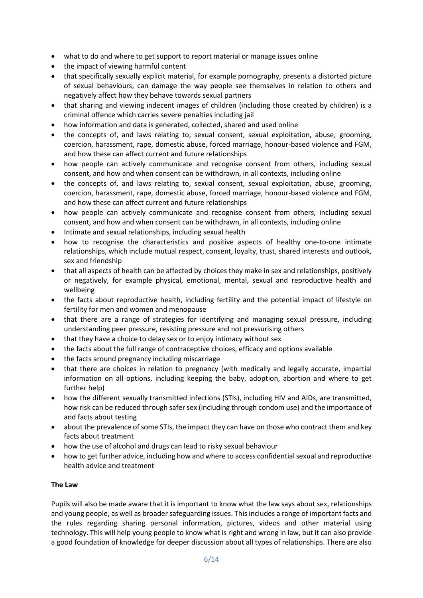- what to do and where to get support to report material or manage issues online
- the impact of viewing harmful content
- that specifically sexually explicit material, for example pornography, presents a distorted picture of sexual behaviours, can damage the way people see themselves in relation to others and negatively affect how they behave towards sexual partners
- that sharing and viewing indecent images of children (including those created by children) is a criminal offence which carries severe penalties including jail
- how information and data is generated, collected, shared and used online
- the concepts of, and laws relating to, sexual consent, sexual exploitation, abuse, grooming, coercion, harassment, rape, domestic abuse, forced marriage, honour-based violence and FGM, and how these can affect current and future relationships
- how people can actively communicate and recognise consent from others, including sexual consent, and how and when consent can be withdrawn, in all contexts, including online
- the concepts of, and laws relating to, sexual consent, sexual exploitation, abuse, grooming, coercion, harassment, rape, domestic abuse, forced marriage, honour-based violence and FGM, and how these can affect current and future relationships
- how people can actively communicate and recognise consent from others, including sexual consent, and how and when consent can be withdrawn, in all contexts, including online
- Intimate and sexual relationships, including sexual health
- how to recognise the characteristics and positive aspects of healthy one-to-one intimate relationships, which include mutual respect, consent, loyalty, trust, shared interests and outlook, sex and friendship
- that all aspects of health can be affected by choices they make in sex and relationships, positively or negatively, for example physical, emotional, mental, sexual and reproductive health and wellbeing
- the facts about reproductive health, including fertility and the potential impact of lifestyle on fertility for men and women and menopause
- that there are a range of strategies for identifying and managing sexual pressure, including understanding peer pressure, resisting pressure and not pressurising others
- that they have a choice to delay sex or to enjoy intimacy without sex
- the facts about the full range of contraceptive choices, efficacy and options available
- the facts around pregnancy including miscarriage
- that there are choices in relation to pregnancy (with medically and legally accurate, impartial information on all options, including keeping the baby, adoption, abortion and where to get further help)
- how the different sexually transmitted infections (STIs), including HIV and AIDs, are transmitted, how risk can be reduced through safer sex (including through condom use) and the importance of and facts about testing
- about the prevalence of some STIs, the impact they can have on those who contract them and key facts about treatment
- how the use of alcohol and drugs can lead to risky sexual behaviour
- how to get further advice, including how and where to access confidential sexual and reproductive health advice and treatment

# **The Law**

Pupils will also be made aware that it is important to know what the law says about sex, relationships and young people, as well as broader safeguarding issues. This includes a range of important facts and the rules regarding sharing personal information, pictures, videos and other material using technology. This will help young people to know what is right and wrong in law, but it can also provide a good foundation of knowledge for deeper discussion about all types of relationships. There are also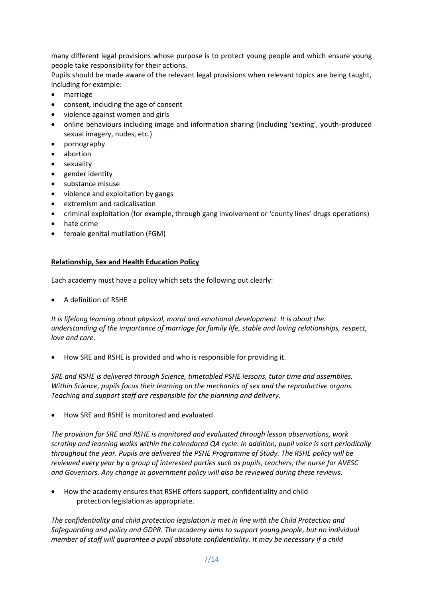many different legal provisions whose purpose is to protect young people and which ensure young people take responsibility for their actions.

Pupils should be made aware of the relevant legal provisions when relevant topics are being taught, including for example:

- marriage
- consent, including the age of consent
- violence against women and girls
- online behaviours including image and information sharing (including 'sexting', youth-produced sexual imagery, nudes, etc.)
- pornography
- abortion
- sexuality
- gender identity
- substance misuse
- violence and exploitation by gangs
- extremism and radicalisation
- criminal exploitation (for example, through gang involvement or 'county lines' drugs operations)
- hate crime
- female genital mutilation (FGM)

#### **Relationship, Sex and Health Education Policy**

Each academy must have a policy which sets the following out clearly:

• A definition of RSHE

*It is lifelong learning about physical, moral and emotional development. It is about the. understanding of the importance of marriage for family life, stable and loving relationships, respect, love and care.*

• How SRE and RSHE is provided and who is responsible for providing it.

*SRE and RSHE is delivered through Science, timetabled PSHE lessons, tutor time and assemblies. Within Science, pupils focus their learning on the mechanics of sex and the reproductive organs. Teaching and support staff are responsible for the planning and delivery.*

• How SRE and RSHE is monitored and evaluated.

*The provision for SRE and RSHE is monitored and evaluated through lesson observations, work scrutiny and learning walks within the calendared QA cycle. In addition, pupil voice is sort periodically throughout the year. Pupils are delivered the PSHE Programme of Study. The RSHE policy will be reviewed every year by a group of interested parties such as pupils, teachers, the nurse for AVESC and Governors. Any change in government policy will also be reviewed during these reviews.*

• How the academy ensures that RSHE offers support, confidentiality and child protection legislation as appropriate.

*The confidentiality and child protection legislation is met in line with the Child Protection and Safeguarding and policy and GDPR. The academy aims to support young people, but no individual member of staff will guarantee a pupil absolute confidentiality. It may be necessary if a child*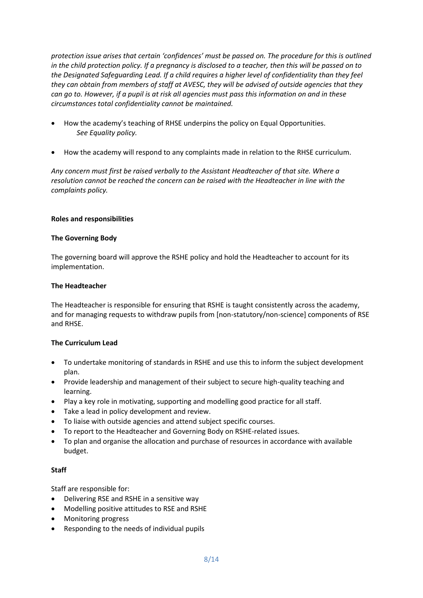*protection issue arises that certain 'confidences' must be passed on. The procedure for this is outlined in the child protection policy. If a pregnancy is disclosed to a teacher, then this will be passed on to the Designated Safeguarding Lead. If a child requires a higher level of confidentiality than they feel they can obtain from members of staff at AVESC, they will be advised of outside agencies that they can go to. However, if a pupil is at risk all agencies must pass this information on and in these circumstances total confidentiality cannot be maintained.*

- How the academy's teaching of RHSE underpins the policy on Equal Opportunities. *See Equality policy.*
- How the academy will respond to any complaints made in relation to the RHSE curriculum.

*Any concern must first be raised verbally to the Assistant Headteacher of that site. Where a resolution cannot be reached the concern can be raised with the Headteacher in line with the complaints policy.*

#### **Roles and responsibilities**

#### **The Governing Body**

The governing board will approve the RSHE policy and hold the Headteacher to account for its implementation.

#### **The Headteacher**

The Headteacher is responsible for ensuring that RSHE is taught consistently across the academy, and for managing requests to withdraw pupils from [non-statutory/non-science] components of RSE and RHSE.

# **The Curriculum Lead**

- To undertake monitoring of standards in RSHE and use this to inform the subject development plan.
- Provide leadership and management of their subject to secure high-quality teaching and learning.
- Play a key role in motivating, supporting and modelling good practice for all staff.
- Take a lead in policy development and review.
- To liaise with outside agencies and attend subject specific courses.
- To report to the Headteacher and Governing Body on RSHE-related issues.
- To plan and organise the allocation and purchase of resources in accordance with available budget.

#### **Staff**

Staff are responsible for:

- Delivering RSE and RSHE in a sensitive way
- Modelling positive attitudes to RSE and RSHE
- Monitoring progress
- Responding to the needs of individual pupils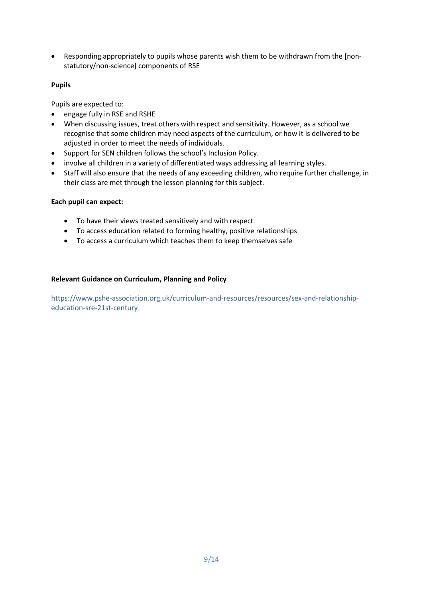• Responding appropriately to pupils whose parents wish them to be withdrawn from the [nonstatutory/non-science] components of RSE

## **Pupils**

Pupils are expected to:

- engage fully in RSE and RSHE
- When discussing issues, treat others with respect and sensitivity. However, as a school we recognise that some children may need aspects of the curriculum, or how it is delivered to be adjusted in order to meet the needs of individuals.
- Support for SEN children follows the school's Inclusion Policy.
- involve all children in a variety of differentiated ways addressing all learning styles.
- Staff will also ensure that the needs of any exceeding children, who require further challenge, in their class are met through the lesson planning for this subject.

#### **Each pupil can expect:**

- To have their views treated sensitively and with respect
- To access education related to forming healthy, positive relationships
- To access a curriculum which teaches them to keep themselves safe

#### **Relevant Guidance on Curriculum, Planning and Policy**

https://www.pshe-association.org.uk/curriculum-and-resources/resources/sex-and-relationshipeducation-sre-21st-century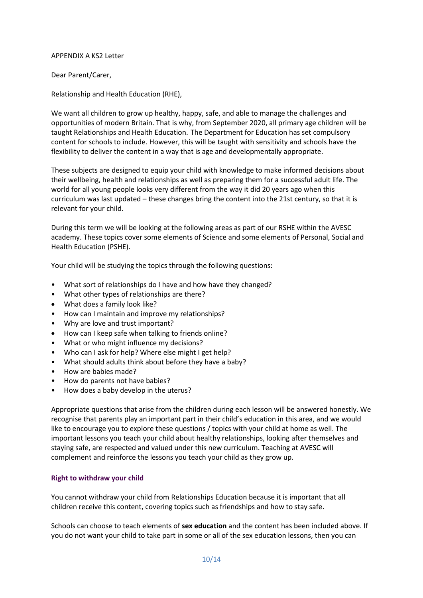#### APPENDIX A KS2 Letter

#### Dear Parent/Carer,

Relationship and Health Education (RHE),

We want all children to grow up healthy, happy, safe, and able to manage the challenges and opportunities of modern Britain. That is why, from September 2020, all primary age children will be taught Relationships and Health Education. The Department for Education has set compulsory content for schools to include. However, this will be taught with sensitivity and schools have the flexibility to deliver the content in a way that is age and developmentally appropriate.

These subjects are designed to equip your child with knowledge to make informed decisions about their wellbeing, health and relationships as well as preparing them for a successful adult life. The world for all young people looks very different from the way it did 20 years ago when this curriculum was last updated – these changes bring the content into the 21st century, so that it is relevant for your child.

During this term we will be looking at the following areas as part of our RSHE within the AVESC academy. These topics cover some elements of Science and some elements of Personal, Social and Health Education (PSHE).

Your child will be studying the topics through the following questions:

- What sort of relationships do I have and how have they changed?
- What other types of relationships are there?
- What does a family look like?
- How can I maintain and improve my relationships?
- Why are love and trust important?
- How can I keep safe when talking to friends online?
- What or who might influence my decisions?
- Who can I ask for help? Where else might I get help?
- What should adults think about before they have a baby?
- How are babies made?
- How do parents not have babies?
- How does a baby develop in the uterus?

Appropriate questions that arise from the children during each lesson will be answered honestly. We recognise that parents play an important part in their child's education in this area, and we would like to encourage you to explore these questions / topics with your child at home as well. The important lessons you teach your child about healthy relationships, looking after themselves and staying safe, are respected and valued under this new curriculum. Teaching at AVESC will complement and reinforce the lessons you teach your child as they grow up.

#### **Right to withdraw your child**

You cannot withdraw your child from Relationships Education because it is important that all children receive this content, covering topics such as friendships and how to stay safe.

Schools can choose to teach elements of **sex education** and the content has been included above. If you do not want your child to take part in some or all of the sex education lessons, then you can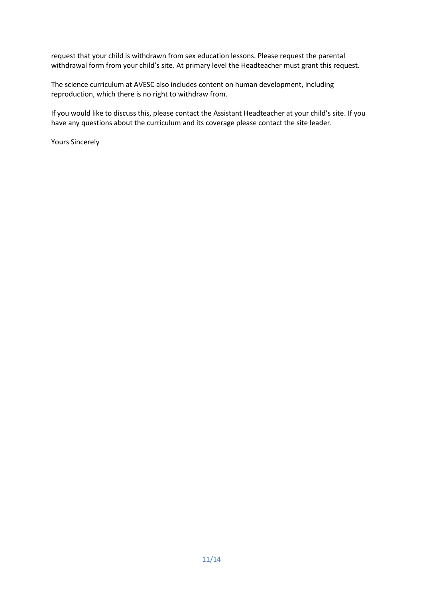request that your child is withdrawn from sex education lessons. Please request the parental withdrawal form from your child's site. At primary level the Headteacher must grant this request.

The science curriculum at AVESC also includes content on human development, including reproduction, which there is no right to withdraw from.

If you would like to discuss this, please contact the Assistant Headteacher at your child's site. If you have any questions about the curriculum and its coverage please contact the site leader.

Yours Sincerely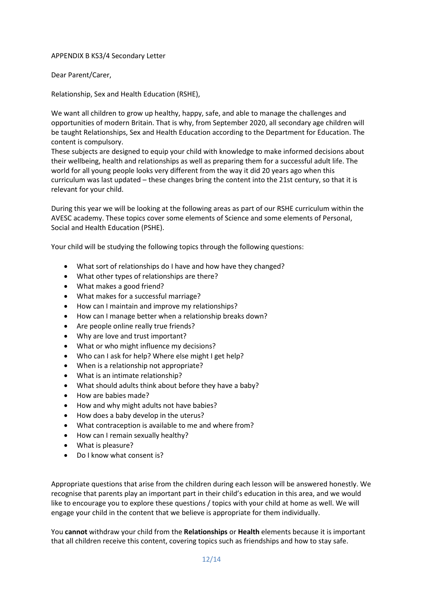## APPENDIX B KS3/4 Secondary Letter

Dear Parent/Carer,

Relationship, Sex and Health Education (RSHE),

We want all children to grow up healthy, happy, safe, and able to manage the challenges and opportunities of modern Britain. That is why, from September 2020, all secondary age children will be taught Relationships, Sex and Health Education according to the Department for Education. The content is compulsory.

These subjects are designed to equip your child with knowledge to make informed decisions about their wellbeing, health and relationships as well as preparing them for a successful adult life. The world for all young people looks very different from the way it did 20 years ago when this curriculum was last updated – these changes bring the content into the 21st century, so that it is relevant for your child.

During this year we will be looking at the following areas as part of our RSHE curriculum within the AVESC academy. These topics cover some elements of Science and some elements of Personal, Social and Health Education (PSHE).

Your child will be studying the following topics through the following questions:

- What sort of relationships do I have and how have they changed?
- What other types of relationships are there?
- What makes a good friend?
- What makes for a successful marriage?
- How can I maintain and improve my relationships?
- How can I manage better when a relationship breaks down?
- Are people online really true friends?
- Why are love and trust important?
- What or who might influence my decisions?
- Who can I ask for help? Where else might I get help?
- When is a relationship not appropriate?
- What is an intimate relationship?
- What should adults think about before they have a baby?
- How are babies made?
- How and why might adults not have babies?
- How does a baby develop in the uterus?
- What contraception is available to me and where from?
- How can I remain sexually healthy?
- What is pleasure?
- Do I know what consent is?

Appropriate questions that arise from the children during each lesson will be answered honestly. We recognise that parents play an important part in their child's education in this area, and we would like to encourage you to explore these questions / topics with your child at home as well. We will engage your child in the content that we believe is appropriate for them individually.

You **cannot** withdraw your child from the **Relationships** or **Health** elements because it is important that all children receive this content, covering topics such as friendships and how to stay safe.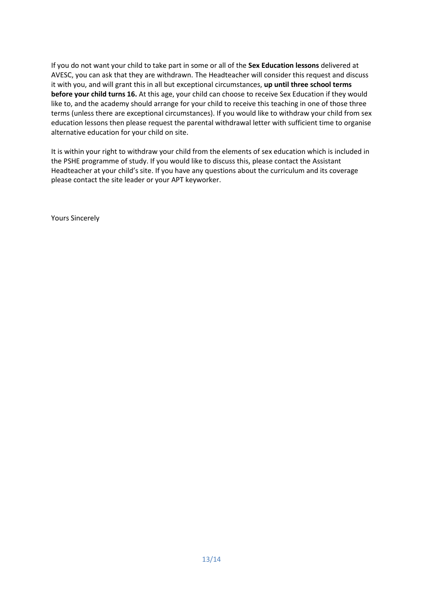If you do not want your child to take part in some or all of the **Sex Education lessons** delivered at AVESC, you can ask that they are withdrawn. The Headteacher will consider this request and discuss it with you, and will grant this in all but exceptional circumstances, **up until three school terms before your child turns 16.** At this age, your child can choose to receive Sex Education if they would like to, and the academy should arrange for your child to receive this teaching in one of those three terms (unless there are exceptional circumstances). If you would like to withdraw your child from sex education lessons then please request the parental withdrawal letter with sufficient time to organise alternative education for your child on site.

It is within your right to withdraw your child from the elements of sex education which is included in the PSHE programme of study. If you would like to discuss this, please contact the Assistant Headteacher at your child's site. If you have any questions about the curriculum and its coverage please contact the site leader or your APT keyworker.

Yours Sincerely